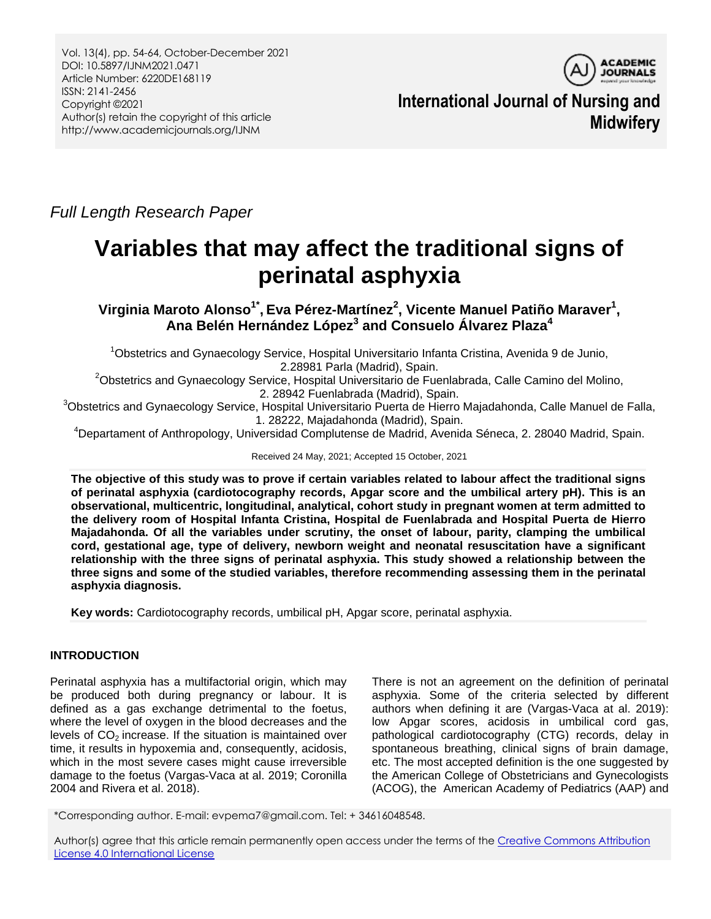

**International Journal of Nursing and Midwifery**

*Full Length Research Paper*

# **Variables that may affect the traditional signs of perinatal asphyxia**

**Virginia Maroto Alonso1\* , Eva Pérez-Martínez<sup>2</sup> , Vicente Manuel Patiño Maraver<sup>1</sup> , Ana Belén Hernández López<sup>3</sup> and Consuelo Álvarez Plaza<sup>4</sup>**

<sup>1</sup>Obstetrics and Gynaecology Service, Hospital Universitario Infanta Cristina, Avenida 9 de Junio, 2.28981 Parla (Madrid), Spain.

<sup>2</sup>Obstetrics and Gynaecology Service, Hospital Universitario de Fuenlabrada, Calle Camino del Molino, 2. 28942 Fuenlabrada (Madrid), Spain.

<sup>3</sup>Obstetrics and Gynaecology Service, Hospital Universitario Puerta de Hierro Majadahonda, Calle Manuel de Falla, 1. 28222, Majadahonda (Madrid), Spain.

<sup>4</sup>Departament of Anthropology, Universidad Complutense de Madrid, Avenida Séneca, 2. 28040 Madrid, Spain.

Received 24 May, 2021; Accepted 15 October, 2021

**The objective of this study was to prove if certain variables related to labour affect the traditional signs of perinatal asphyxia (cardiotocography records, Apgar score and the umbilical artery pH). This is an observational, multicentric, longitudinal, analytical, cohort study in pregnant women at term admitted to the delivery room of Hospital Infanta Cristina, Hospital de Fuenlabrada and Hospital Puerta de Hierro Majadahonda. Of all the variables under scrutiny, the onset of labour, parity, clamping the umbilical cord, gestational age, type of delivery, newborn weight and neonatal resuscitation have a significant relationship with the three signs of perinatal asphyxia. This study showed a relationship between the three signs and some of the studied variables, therefore recommending assessing them in the perinatal asphyxia diagnosis.** 

**Key words:** Cardiotocography records, umbilical pH, Apgar score, perinatal asphyxia.

## **INTRODUCTION**

Perinatal asphyxia has a multifactorial origin, which may be produced both during pregnancy or labour. It is defined as a gas exchange detrimental to the foetus, where the level of oxygen in the blood decreases and the levels of  $CO<sub>2</sub>$  increase. If the situation is maintained over time, it results in hypoxemia and, consequently, acidosis, which in the most severe cases might cause irreversible damage to the foetus (Vargas-Vaca at al. 2019; Coronilla 2004 and Rivera et al. 2018).

There is not an agreement on the definition of perinatal asphyxia. Some of the criteria selected by different authors when defining it are (Vargas-Vaca at al. 2019): low Apgar scores, acidosis in umbilical cord gas, pathological cardiotocography (CTG) records, delay in spontaneous breathing, clinical signs of brain damage, etc. The most accepted definition is the one suggested by the American College of Obstetricians and Gynecologists (ACOG), the American Academy of Pediatrics (AAP) and

\*Corresponding author. E-mail: evpema7@gmail.com. Tel: + 34616048548.

Author(s) agree that this article remain permanently open access under the terms of the Creative Commons Attribution [License 4.0 International License](http://creativecommons.org/licenses/by/4.0/deed.en_US)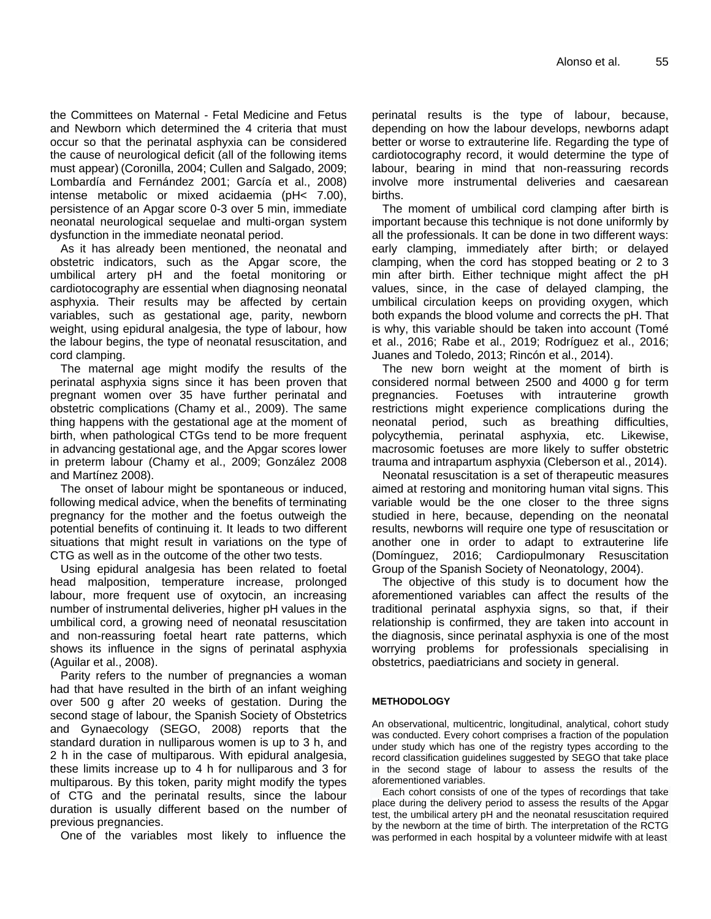the Committees on Maternal - Fetal Medicine and Fetus and Newborn which determined the 4 criteria that must occur so that the perinatal asphyxia can be considered the cause of neurological deficit (all of the following items must appear) (Coronilla, 2004; Cullen and Salgado, 2009; Lombardía and Fernández 2001; García et al., 2008) intense metabolic or mixed acidaemia (pH< 7.00), persistence of an Apgar score 0-3 over 5 min, immediate neonatal neurological sequelae and multi-organ system dysfunction in the immediate neonatal period.

As it has already been mentioned, the neonatal and obstetric indicators, such as the Apgar score, the umbilical artery pH and the foetal monitoring or cardiotocography are essential when diagnosing neonatal asphyxia. Their results may be affected by certain variables, such as gestational age, parity, newborn weight, using epidural analgesia, the type of labour, how the labour begins, the type of neonatal resuscitation, and cord clamping.

The maternal age might modify the results of the perinatal asphyxia signs since it has been proven that pregnant women over 35 have further perinatal and obstetric complications (Chamy et al., 2009). The same thing happens with the gestational age at the moment of birth, when pathological CTGs tend to be more frequent in advancing gestational age, and the Apgar scores lower in preterm labour (Chamy et al., 2009; González 2008 and Martínez 2008).

The onset of labour might be spontaneous or induced, following medical advice, when the benefits of terminating pregnancy for the mother and the foetus outweigh the potential benefits of continuing it. It leads to two different situations that might result in variations on the type of CTG as well as in the outcome of the other two tests.

Using epidural analgesia has been related to foetal head malposition, temperature increase, prolonged labour, more frequent use of oxytocin, an increasing number of instrumental deliveries, higher pH values in the umbilical cord, a growing need of neonatal resuscitation and non-reassuring foetal heart rate patterns, which shows its influence in the signs of perinatal asphyxia (Aguilar et al., 2008).

Parity refers to the number of pregnancies a woman had that have resulted in the birth of an infant weighing over 500 g after 20 weeks of gestation. During the second stage of labour, the Spanish Society of Obstetrics and Gynaecology (SEGO, 2008) reports that the standard duration in nulliparous women is up to 3 h, and 2 h in the case of multiparous. With epidural analgesia, these limits increase up to 4 h for nulliparous and 3 for multiparous. By this token, parity might modify the types of CTG and the perinatal results, since the labour duration is usually different based on the number of previous pregnancies.

One of the variables most likely to influence the

perinatal results is the type of labour, because, depending on how the labour develops, newborns adapt better or worse to extrauterine life. Regarding the type of cardiotocography record, it would determine the type of labour, bearing in mind that non-reassuring records involve more instrumental deliveries and caesarean births.

The moment of umbilical cord clamping after birth is important because this technique is not done uniformly by all the professionals. It can be done in two different ways: early clamping, immediately after birth; or delayed clamping, when the cord has stopped beating or 2 to 3 min after birth. Either technique might affect the pH values, since, in the case of delayed clamping, the umbilical circulation keeps on providing oxygen, which both expands the blood volume and corrects the pH. That is why, this variable should be taken into account (Tomé et al., 2016; Rabe et al., 2019; Rodríguez et al., 2016; Juanes and Toledo, 2013; Rincón et al., 2014).

The new born weight at the moment of birth is considered normal between 2500 and 4000 g for term pregnancies. Foetuses with intrauterine growth restrictions might experience complications during the neonatal period, such as breathing difficulties, polycythemia, perinatal asphyxia, etc. Likewise, macrosomic foetuses are more likely to suffer obstetric trauma and intrapartum asphyxia (Cleberson et al., 2014).

Neonatal resuscitation is a set of therapeutic measures aimed at restoring and monitoring human vital signs. This variable would be the one closer to the three signs studied in here, because, depending on the neonatal results, newborns will require one type of resuscitation or another one in order to adapt to extrauterine life (Domínguez, 2016; Cardiopulmonary Resuscitation Group of the Spanish Society of Neonatology, 2004).

The objective of this study is to document how the aforementioned variables can affect the results of the traditional perinatal asphyxia signs, so that, if their relationship is confirmed, they are taken into account in the diagnosis, since perinatal asphyxia is one of the most worrying problems for professionals specialising in obstetrics, paediatricians and society in general.

#### **METHODOLOGY**

An observational, multicentric, longitudinal, analytical, cohort study was conducted. Every cohort comprises a fraction of the population under study which has one of the registry types according to the record classification guidelines suggested by SEGO that take place in the second stage of labour to assess the results of the aforementioned variables.

Each cohort consists of one of the types of recordings that take place during the delivery period to assess the results of the Apgar test, the umbilical artery pH and the neonatal resuscitation required by the newborn at the time of birth. The interpretation of the RCTG was performed in each hospital by a volunteer midwife with at least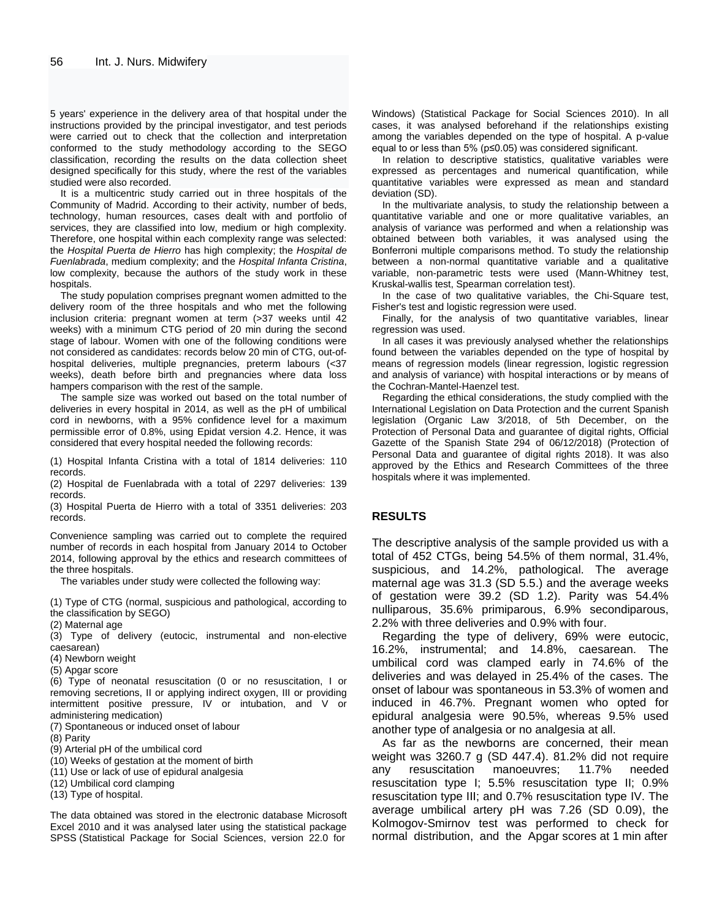5 years' experience in the delivery area of that hospital under the instructions provided by the principal investigator, and test periods were carried out to check that the collection and interpretation conformed to the study methodology according to the SEGO classification, recording the results on the data collection sheet designed specifically for this study, where the rest of the variables studied were also recorded.

It is a multicentric study carried out in three hospitals of the Community of Madrid. According to their activity, number of beds, technology, human resources, cases dealt with and portfolio of services, they are classified into low, medium or high complexity. Therefore, one hospital within each complexity range was selected: the *Hospital Puerta de Hierro* has high complexity; the *Hospital de Fuenlabrada*, medium complexity; and the *Hospital Infanta Cristina*, low complexity, because the authors of the study work in these hospitals.

The study population comprises pregnant women admitted to the delivery room of the three hospitals and who met the following inclusion criteria: pregnant women at term (>37 weeks until 42 weeks) with a minimum CTG period of 20 min during the second stage of labour. Women with one of the following conditions were not considered as candidates: records below 20 min of CTG, out-ofhospital deliveries, multiple pregnancies, preterm labours (<37 weeks), death before birth and pregnancies where data loss hampers comparison with the rest of the sample.

The sample size was worked out based on the total number of deliveries in every hospital in 2014, as well as the pH of umbilical cord in newborns, with a 95% confidence level for a maximum permissible error of 0.8%, using Epidat version 4.2. Hence, it was considered that every hospital needed the following records:

(1) Hospital Infanta Cristina with a total of 1814 deliveries: 110 records.

(2) Hospital de Fuenlabrada with a total of 2297 deliveries: 139 records.

(3) Hospital Puerta de Hierro with a total of 3351 deliveries: 203 records.

Convenience sampling was carried out to complete the required number of records in each hospital from January 2014 to October 2014, following approval by the ethics and research committees of the three hospitals.

The variables under study were collected the following way:

(1) Type of CTG (normal, suspicious and pathological, according to the classification by SEGO)

(2) Maternal age

(3) Type of delivery (eutocic, instrumental and non-elective caesarean)

(4) Newborn weight

(5) Apgar score

(6) Type of neonatal resuscitation (0 or no resuscitation, I or removing secretions, II or applying indirect oxygen, III or providing intermittent positive pressure, IV or intubation, and V or administering medication)

(7) Spontaneous or induced onset of labour

(8) Parity

(9) Arterial pH of the umbilical cord

(10) Weeks of gestation at the moment of birth

(11) Use or lack of use of epidural analgesia

(12) Umbilical cord clamping

(13) Type of hospital.

The data obtained was stored in the electronic database Microsoft Excel 2010 and it was analysed later using the statistical package SPSS (Statistical Package for Social Sciences, version 22.0 for

Windows) (Statistical Package for Social Sciences 2010). In all cases, it was analysed beforehand if the relationships existing among the variables depended on the type of hospital. A p-value equal to or less than 5% (p≤0.05) was considered significant.

In relation to descriptive statistics, qualitative variables were expressed as percentages and numerical quantification, while quantitative variables were expressed as mean and standard deviation (SD).

In the multivariate analysis, to study the relationship between a quantitative variable and one or more qualitative variables, an analysis of variance was performed and when a relationship was obtained between both variables, it was analysed using the Bonferroni multiple comparisons method. To study the relationship between a non-normal quantitative variable and a qualitative variable, non-parametric tests were used (Mann-Whitney test, Kruskal-wallis test, Spearman correlation test).

In the case of two qualitative variables, the Chi-Square test, Fisher's test and logistic regression were used.

Finally, for the analysis of two quantitative variables, linear regression was used.

In all cases it was previously analysed whether the relationships found between the variables depended on the type of hospital by means of regression models (linear regression, logistic regression and analysis of variance) with hospital interactions or by means of the Cochran-Mantel-Haenzel test.

Regarding the ethical considerations, the study complied with the International Legislation on Data Protection and the current Spanish legislation (Organic Law 3/2018, of 5th December, on the Protection of Personal Data and guarantee of digital rights, Official Gazette of the Spanish State 294 of 06/12/2018) (Protection of Personal Data and guarantee of digital rights 2018). It was also approved by the Ethics and Research Committees of the three hospitals where it was implemented.

#### **RESULTS**

The descriptive analysis of the sample provided us with a total of 452 CTGs, being 54.5% of them normal, 31.4%, suspicious, and 14.2%, pathological. The average maternal age was 31.3 (SD 5.5.) and the average weeks of gestation were 39.2 (SD 1.2). Parity was 54.4% nulliparous, 35.6% primiparous, 6.9% secondiparous, 2.2% with three deliveries and 0.9% with four.

Regarding the type of delivery, 69% were eutocic, 16.2%, instrumental; and 14.8%, caesarean. The umbilical cord was clamped early in 74.6% of the deliveries and was delayed in 25.4% of the cases. The onset of labour was spontaneous in 53.3% of women and induced in 46.7%. Pregnant women who opted for epidural analgesia were 90.5%, whereas 9.5% used another type of analgesia or no analgesia at all.

As far as the newborns are concerned, their mean weight was 3260.7 g (SD 447.4). 81.2% did not require any resuscitation manoeuvres; 11.7% needed resuscitation type I; 5.5% resuscitation type II; 0.9% resuscitation type III; and 0.7% resuscitation type IV. The average umbilical artery pH was 7.26 (SD 0.09), the Kolmogov-Smirnov test was performed to check for normal distribution, and the Apgar scores at 1 min after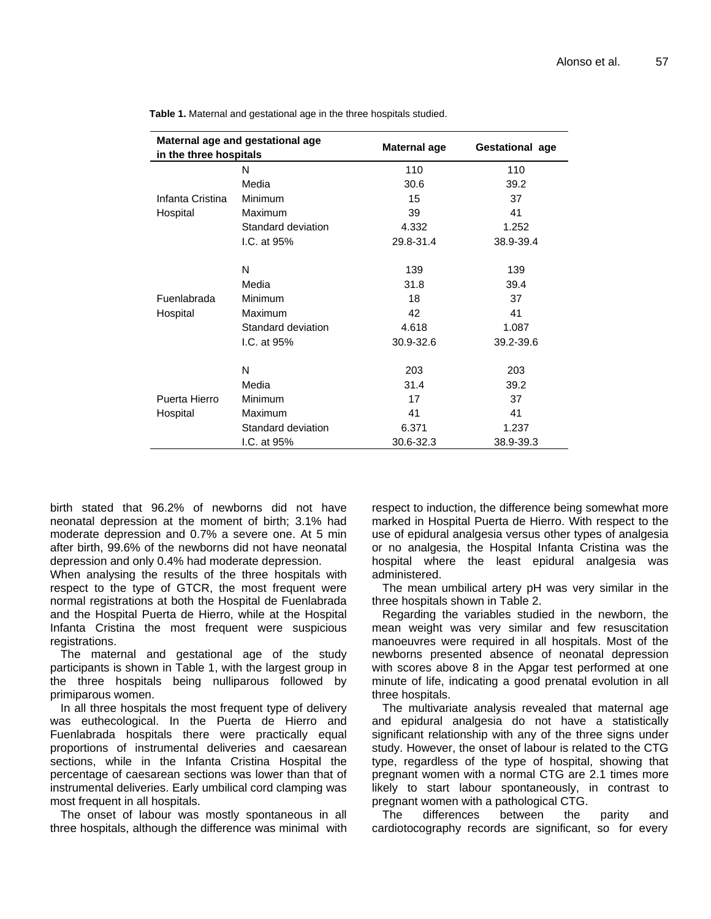| Maternal age and gestational age<br>in the three hospitals |                    | Maternal age | <b>Gestational age</b> |
|------------------------------------------------------------|--------------------|--------------|------------------------|
| Infanta Cristina<br>Hospital                               | N                  | 110          | 110                    |
|                                                            | Media              | 30.6         | 39.2                   |
|                                                            | Minimum            | 15           | 37                     |
|                                                            | Maximum            | 39           | 41                     |
|                                                            | Standard deviation | 4.332        | 1.252                  |
|                                                            | I.C. at $95%$      | 29.8-31.4    | 38.9-39.4              |
| Fuenlabrada<br>Hospital                                    | N                  | 139          | 139                    |
|                                                            | Media              | 31.8         | 39.4                   |
|                                                            | Minimum            | 18           | 37                     |
|                                                            | Maximum            | 42           | 41                     |
|                                                            | Standard deviation | 4.618        | 1.087                  |
|                                                            | I.C. at 95%        | 30.9-32.6    | 39.2-39.6              |
| Puerta Hierro<br>Hospital                                  | N                  | 203          | 203                    |
|                                                            | Media              | 31.4         | 39.2                   |
|                                                            | Minimum            | 17           | 37                     |
|                                                            | Maximum            | 41           | 41                     |
|                                                            | Standard deviation | 6.371        | 1.237                  |
|                                                            | I.C. at 95%        | 30.6-32.3    | 38.9-39.3              |

**Table 1.** Maternal and gestational age in the three hospitals studied.

birth stated that 96.2% of newborns did not have neonatal depression at the moment of birth; 3.1% had moderate depression and 0.7% a severe one. At 5 min after birth, 99.6% of the newborns did not have neonatal depression and only 0.4% had moderate depression.

When analysing the results of the three hospitals with respect to the type of GTCR, the most frequent were normal registrations at both the Hospital de Fuenlabrada and the Hospital Puerta de Hierro, while at the Hospital Infanta Cristina the most frequent were suspicious registrations.

The maternal and gestational age of the study participants is shown in Table 1, with the largest group in the three hospitals being nulliparous followed by primiparous women.

In all three hospitals the most frequent type of delivery was euthecological. In the Puerta de Hierro and Fuenlabrada hospitals there were practically equal proportions of instrumental deliveries and caesarean sections, while in the Infanta Cristina Hospital the percentage of caesarean sections was lower than that of instrumental deliveries. Early umbilical cord clamping was most frequent in all hospitals.

The onset of labour was mostly spontaneous in all three hospitals, although the difference was minimal with respect to induction, the difference being somewhat more marked in Hospital Puerta de Hierro. With respect to the use of epidural analgesia versus other types of analgesia or no analgesia, the Hospital Infanta Cristina was the hospital where the least epidural analgesia was administered.

The mean umbilical artery pH was very similar in the three hospitals shown in Table 2.

Regarding the variables studied in the newborn, the mean weight was very similar and few resuscitation manoeuvres were required in all hospitals. Most of the newborns presented absence of neonatal depression with scores above 8 in the Apgar test performed at one minute of life, indicating a good prenatal evolution in all three hospitals.

The multivariate analysis revealed that maternal age and epidural analgesia do not have a statistically significant relationship with any of the three signs under study. However, the onset of labour is related to the CTG type, regardless of the type of hospital, showing that pregnant women with a normal CTG are 2.1 times more likely to start labour spontaneously, in contrast to pregnant women with a pathological CTG.

The differences between the parity and cardiotocography records are significant, so for every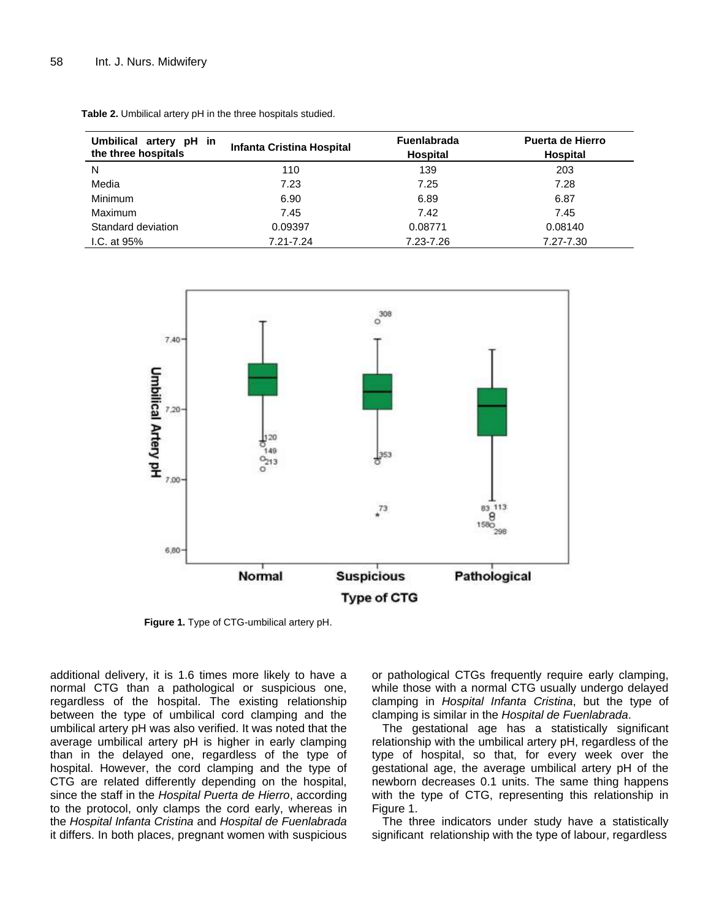| Umbilical artery pH in<br>the three hospitals | Infanta Cristina Hospital | <b>Fuenlabrada</b><br><b>Hospital</b> | Puerta de Hierro<br><b>Hospital</b> |
|-----------------------------------------------|---------------------------|---------------------------------------|-------------------------------------|
| N                                             | 110                       | 139                                   | 203                                 |
| Media                                         | 7.23                      | 7.25                                  | 7.28                                |
| Minimum                                       | 6.90                      | 6.89                                  | 6.87                                |
| Maximum                                       | 7.45                      | 7.42                                  | 7.45                                |
| Standard deviation                            | 0.09397                   | 0.08771                               | 0.08140                             |
| I.C. at $95%$                                 | 7.21-7.24                 | 7.23-7.26                             | 7.27-7.30                           |

**Table 2.** Umbilical artery pH in the three hospitals studied.



**Figure 1.** Type of CTG-umbilical artery pH.

additional delivery, it is 1.6 times more likely to have a normal CTG than a pathological or suspicious one, regardless of the hospital. The existing relationship between the type of umbilical cord clamping and the umbilical artery pH was also verified. It was noted that the average umbilical artery pH is higher in early clamping than in the delayed one, regardless of the type of hospital. However, the cord clamping and the type of CTG are related differently depending on the hospital, since the staff in the *Hospital Puerta de Hierro*, according to the protocol, only clamps the cord early, whereas in the *Hospital Infanta Cristina* and *Hospital de Fuenlabrada* it differs. In both places, pregnant women with suspicious

or pathological CTGs frequently require early clamping, while those with a normal CTG usually undergo delayed clamping in *Hospital Infanta Cristina*, but the type of clamping is similar in the *Hospital de Fuenlabrada*.

The gestational age has a statistically significant relationship with the umbilical artery pH, regardless of the type of hospital, so that, for every week over the gestational age, the average umbilical artery pH of the newborn decreases 0.1 units. The same thing happens with the type of CTG, representing this relationship in Figure 1.

The three indicators under study have a statistically significant relationship with the type of labour, regardless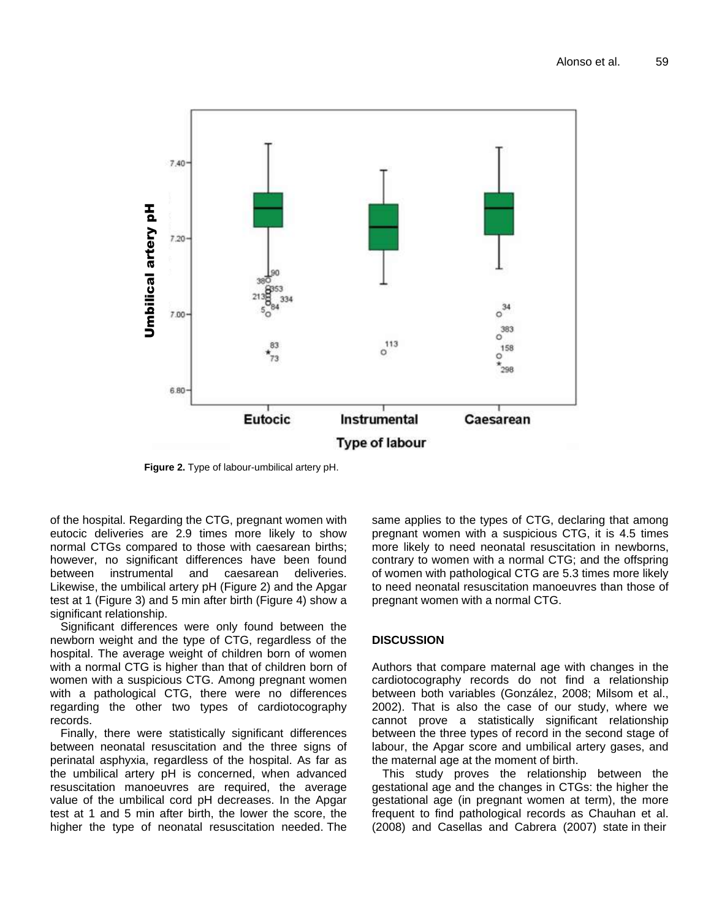

**Figure 2.** Type of labour-umbilical artery pH.

of the hospital. Regarding the CTG, pregnant women with eutocic deliveries are 2.9 times more likely to show normal CTGs compared to those with caesarean births; however, no significant differences have been found between instrumental and caesarean deliveries. Likewise, the umbilical artery pH (Figure 2) and the Apgar test at 1 (Figure 3) and 5 min after birth (Figure 4) show a significant relationship.

Significant differences were only found between the newborn weight and the type of CTG, regardless of the hospital. The average weight of children born of women with a normal CTG is higher than that of children born of women with a suspicious CTG. Among pregnant women with a pathological CTG, there were no differences regarding the other two types of cardiotocography records.

Finally, there were statistically significant differences between neonatal resuscitation and the three signs of perinatal asphyxia, regardless of the hospital. As far as the umbilical artery pH is concerned, when advanced resuscitation manoeuvres are required, the average value of the umbilical cord pH decreases. In the Apgar test at 1 and 5 min after birth, the lower the score, the higher the type of neonatal resuscitation needed. The same applies to the types of CTG, declaring that among pregnant women with a suspicious CTG, it is 4.5 times more likely to need neonatal resuscitation in newborns, contrary to women with a normal CTG; and the offspring of women with pathological CTG are 5.3 times more likely to need neonatal resuscitation manoeuvres than those of pregnant women with a normal CTG.

#### **DISCUSSION**

Authors that compare maternal age with changes in the cardiotocography records do not find a relationship between both variables (González, 2008; Milsom et al., 2002). That is also the case of our study, where we cannot prove a statistically significant relationship between the three types of record in the second stage of labour, the Apgar score and umbilical artery gases, and the maternal age at the moment of birth.

This study proves the relationship between the gestational age and the changes in CTGs: the higher the gestational age (in pregnant women at term), the more frequent to find pathological records as Chauhan et al. (2008) and Casellas and Cabrera (2007) state in their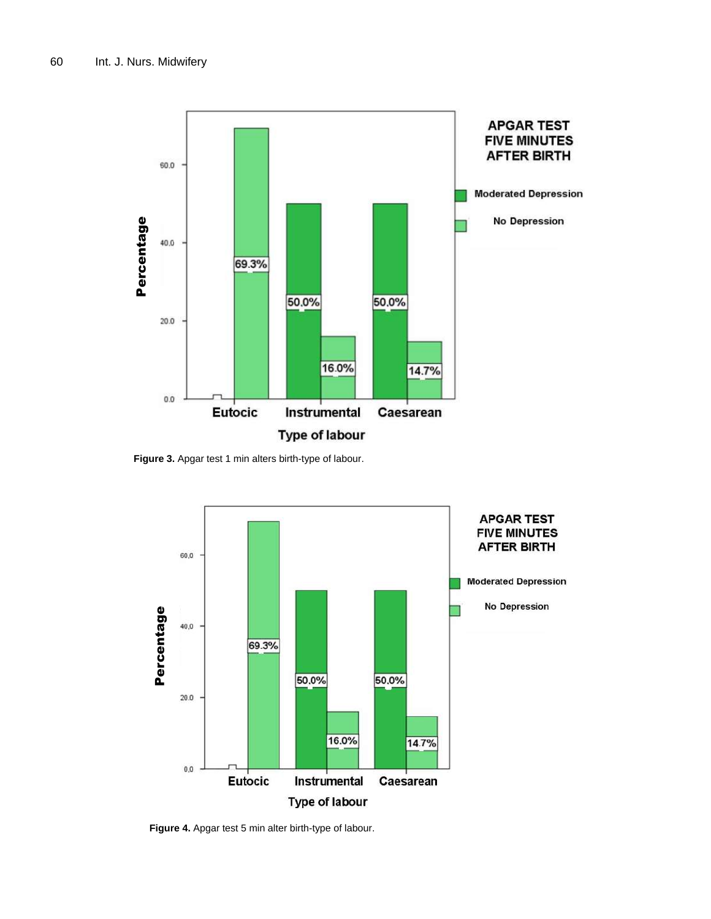

**Figure 3.** Apgar test 1 min alters birth-type of labour.



**Figure 4.** Apgar test 5 min alter birth-type of labour.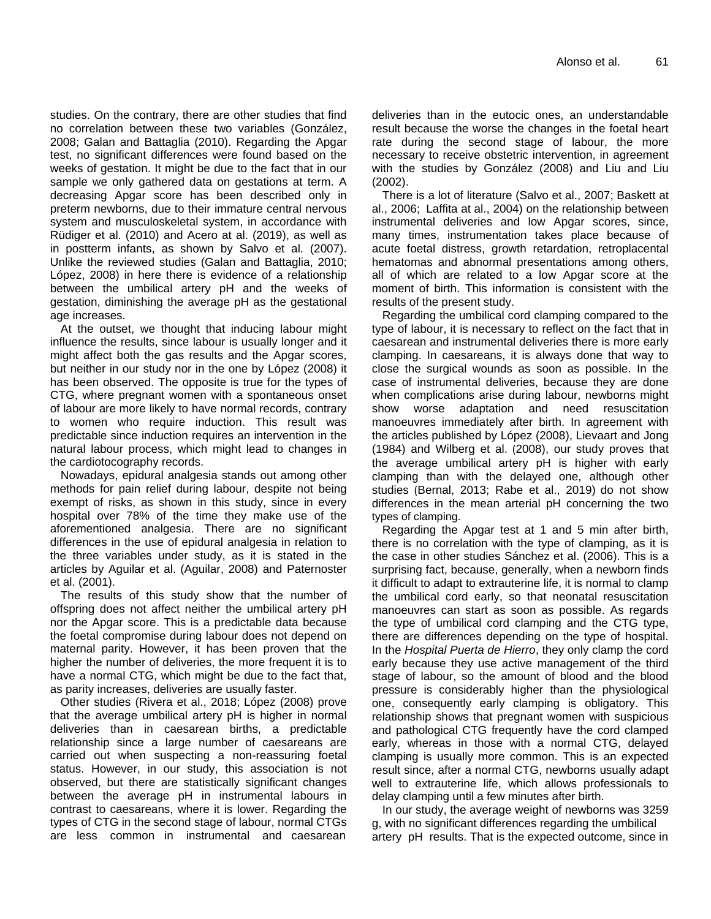studies. On the contrary, there are other studies that find no correlation between these two variables (González, 2008; Galan and Battaglia (2010). Regarding the Apgar test, no significant differences were found based on the weeks of gestation. It might be due to the fact that in our sample we only gathered data on gestations at term. A decreasing Apgar score has been described only in preterm newborns, due to their immature central nervous system and musculoskeletal system, in accordance with Rüdiger et al. (2010) and Acero at al. (2019), as well as in postterm infants, as shown by Salvo et al. (2007). Unlike the reviewed studies (Galan and Battaglia, 2010; López, 2008) in here there is evidence of a relationship between the umbilical artery pH and the weeks of gestation, diminishing the average pH as the gestational age increases.

At the outset, we thought that inducing labour might influence the results, since labour is usually longer and it might affect both the gas results and the Apgar scores, but neither in our study nor in the one by López (2008) it has been observed. The opposite is true for the types of CTG, where pregnant women with a spontaneous onset of labour are more likely to have normal records, contrary to women who require induction. This result was predictable since induction requires an intervention in the natural labour process, which might lead to changes in the cardiotocography records.

Nowadays, epidural analgesia stands out among other methods for pain relief during labour, despite not being exempt of risks, as shown in this study, since in every hospital over 78% of the time they make use of the aforementioned analgesia. There are no significant differences in the use of epidural analgesia in relation to the three variables under study, as it is stated in the articles by Aguilar et al. (Aguilar, 2008) and Paternoster et al. (2001).

The results of this study show that the number of offspring does not affect neither the umbilical artery pH nor the Apgar score. This is a predictable data because the foetal compromise during labour does not depend on maternal parity. However, it has been proven that the higher the number of deliveries, the more frequent it is to have a normal CTG, which might be due to the fact that, as parity increases, deliveries are usually faster.

Other studies (Rivera et al., 2018; López (2008) prove that the average umbilical artery pH is higher in normal deliveries than in caesarean births, a predictable relationship since a large number of caesareans are carried out when suspecting a non-reassuring foetal status. However, in our study, this association is not observed, but there are statistically significant changes between the average pH in instrumental labours in contrast to caesareans, where it is lower. Regarding the types of CTG in the second stage of labour, normal CTGs are less common in instrumental and caesarean

deliveries than in the eutocic ones, an understandable result because the worse the changes in the foetal heart rate during the second stage of labour, the more necessary to receive obstetric intervention, in agreement with the studies by González (2008) and Liu and Liu (2002).

There is a lot of literature (Salvo et al., 2007; Baskett at al., 2006; Laffita at al., 2004) on the relationship between instrumental deliveries and low Apgar scores, since, many times, instrumentation takes place because of acute foetal distress, growth retardation, retroplacental hematomas and abnormal presentations among others, all of which are related to a low Apgar score at the moment of birth. This information is consistent with the results of the present study.

Regarding the umbilical cord clamping compared to the type of labour, it is necessary to reflect on the fact that in caesarean and instrumental deliveries there is more early clamping. In caesareans, it is always done that way to close the surgical wounds as soon as possible. In the case of instrumental deliveries, because they are done when complications arise during labour, newborns might show worse adaptation and need resuscitation manoeuvres immediately after birth. In agreement with the articles published by López (2008), Lievaart and Jong (1984) and Wilberg et al. (2008), our study proves that the average umbilical artery pH is higher with early clamping than with the delayed one, although other studies (Bernal, 2013; Rabe et al., 2019) do not show differences in the mean arterial pH concerning the two types of clamping.

Regarding the Apgar test at 1 and 5 min after birth, there is no correlation with the type of clamping, as it is the case in other studies Sánchez et al. (2006). This is a surprising fact, because, generally, when a newborn finds it difficult to adapt to extrauterine life, it is normal to clamp the umbilical cord early, so that neonatal resuscitation manoeuvres can start as soon as possible. As regards the type of umbilical cord clamping and the CTG type, there are differences depending on the type of hospital. In the *Hospital Puerta de Hierro*, they only clamp the cord early because they use active management of the third stage of labour, so the amount of blood and the blood pressure is considerably higher than the physiological one, consequently early clamping is obligatory. This relationship shows that pregnant women with suspicious and pathological CTG frequently have the cord clamped early, whereas in those with a normal CTG, delayed clamping is usually more common. This is an expected result since, after a normal CTG, newborns usually adapt well to extrauterine life, which allows professionals to delay clamping until a few minutes after birth.

In our study, the average weight of newborns was 3259 g, with no significant differences regarding the umbilical artery pH results. That is the expected outcome, since in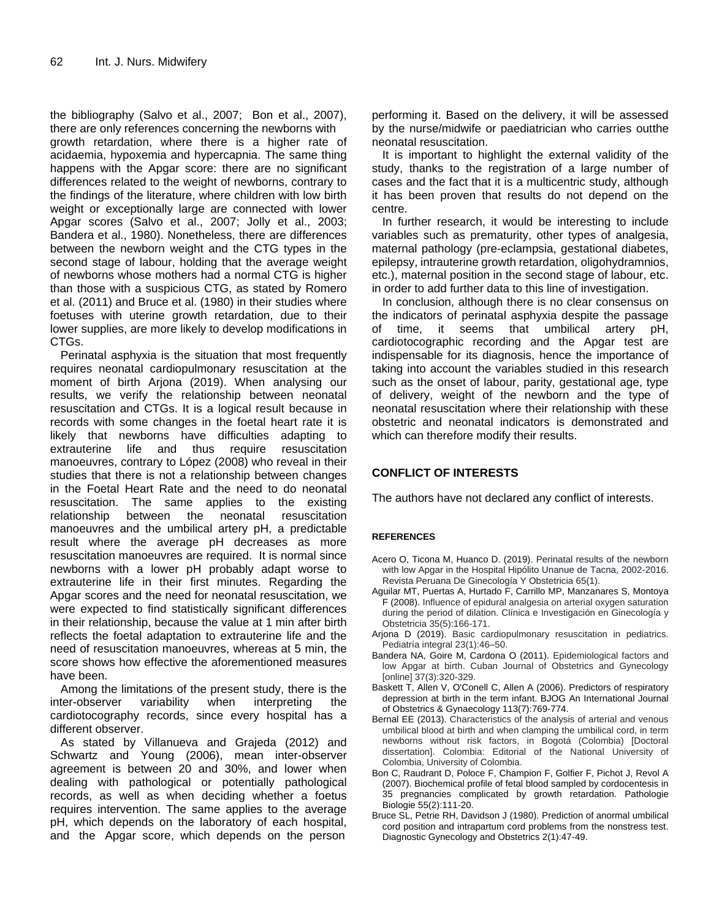the bibliography (Salvo et al., 2007; Bon et al., 2007), there are only references concerning the newborns with growth retardation, where there is a higher rate of acidaemia, hypoxemia and hypercapnia. The same thing happens with the Apgar score: there are no significant differences related to the weight of newborns, contrary to the findings of the literature, where children with low birth weight or exceptionally large are connected with lower Apgar scores (Salvo et al., 2007; Jolly et al., 2003; Bandera et al., 1980). Nonetheless, there are differences between the newborn weight and the CTG types in the second stage of labour, holding that the average weight of newborns whose mothers had a normal CTG is higher than those with a suspicious CTG, as stated by Romero et al. (2011) and Bruce et al. (1980) in their studies where foetuses with uterine growth retardation, due to their lower supplies, are more likely to develop modifications in CTGs.

Perinatal asphyxia is the situation that most frequently requires neonatal cardiopulmonary resuscitation at the moment of birth Arjona (2019). When analysing our results, we verify the relationship between neonatal resuscitation and CTGs. It is a logical result because in records with some changes in the foetal heart rate it is likely that newborns have difficulties adapting to extrauterine life and thus require resuscitation manoeuvres, contrary to López (2008) who reveal in their studies that there is not a relationship between changes in the Foetal Heart Rate and the need to do neonatal resuscitation. The same applies to the existing relationship between the neonatal resuscitation manoeuvres and the umbilical artery pH, a predictable result where the average pH decreases as more resuscitation manoeuvres are required. It is normal since newborns with a lower pH probably adapt worse to extrauterine life in their first minutes. Regarding the Apgar scores and the need for neonatal resuscitation, we were expected to find statistically significant differences in their relationship, because the value at 1 min after birth reflects the foetal adaptation to extrauterine life and the need of resuscitation manoeuvres, whereas at 5 min, the score shows how effective the aforementioned measures have been.

Among the limitations of the present study, there is the inter-observer variability when interpreting the cardiotocography records, since every hospital has a different observer.

As stated by Villanueva and Grajeda (2012) and Schwartz and Young (2006), mean inter-observer agreement is between 20 and 30%, and lower when dealing with pathological or potentially pathological records, as well as when deciding whether a foetus requires intervention. The same applies to the average pH, which depends on the laboratory of each hospital, and the Apgar score, which depends on the person

performing it. Based on the delivery, it will be assessed by the nurse/midwife or paediatrician who carries outthe neonatal resuscitation.

It is important to highlight the external validity of the study, thanks to the registration of a large number of cases and the fact that it is a multicentric study, although it has been proven that results do not depend on the centre.

In further research, it would be interesting to include variables such as prematurity, other types of analgesia, maternal pathology (pre-eclampsia, gestational diabetes, epilepsy, intrauterine growth retardation, oligohydramnios, etc.), maternal position in the second stage of labour, etc. in order to add further data to this line of investigation.

In conclusion, although there is no clear consensus on the indicators of perinatal asphyxia despite the passage of time, it seems that umbilical artery pH, cardiotocographic recording and the Apgar test are indispensable for its diagnosis, hence the importance of taking into account the variables studied in this research such as the onset of labour, parity, gestational age, type of delivery, weight of the newborn and the type of neonatal resuscitation where their relationship with these obstetric and neonatal indicators is demonstrated and which can therefore modify their results.

### **CONFLICT OF INTERESTS**

The authors have not declared any conflict of interests.

#### **REFERENCES**

- Acero O, Ticona M, Huanco D. (2019). Perinatal results of the newborn with low Apgar in the Hospital Hipólito Unanue de Tacna, 2002-2016. Revista Peruana De Ginecología Y Obstetricia 65(1).
- Aguilar MT, Puertas A, Hurtado F, Carrillo MP, Manzanares S, Montoya F (2008). Influence of epidural analgesia on arterial oxygen saturation during the period of dilation. Clínica e Investigación en Ginecología y Obstetricia 35(5):166-171.
- Arjona D (2019). Basic cardiopulmonary resuscitation in pediatrics. Pediatría integral 23(1):46–50.
- Bandera NA, Goire M, Cardona O (2011). Epidemiological factors and low Apgar at birth. Cuban Journal of Obstetrics and Gynecology [online] 37(3):320-329.
- Baskett T, Allen V, O'Conell C, Allen A (2006). Predictors of respiratory depression at birth in the term infant. BJOG An International Journal of Obstetrics & Gynaecology 113(7):769-774.
- Bernal EE (2013). Characteristics of the analysis of arterial and venous umbilical blood at birth and when clamping the umbilical cord, in term newborns without risk factors, in Bogotá (Colombia) [Doctoral dissertation]. Colombia: Editorial of the National University of Colombia, University of Colombia.
- Bon C, Raudrant D, Poloce F, Champion F, Golfier F, Pichot J, Revol A (2007). Biochemical profile of fetal blood sampled by cordocentesis in 35 pregnancies complicated by growth retardation*.* Pathologie Biologie 55(2):111-20.
- Bruce SL, Petrie RH, Davidson J (1980). Prediction of anormal umbilical cord position and intrapartum cord problems from the nonstress test. Diagnostic Gynecology and Obstetrics 2(1):47-49.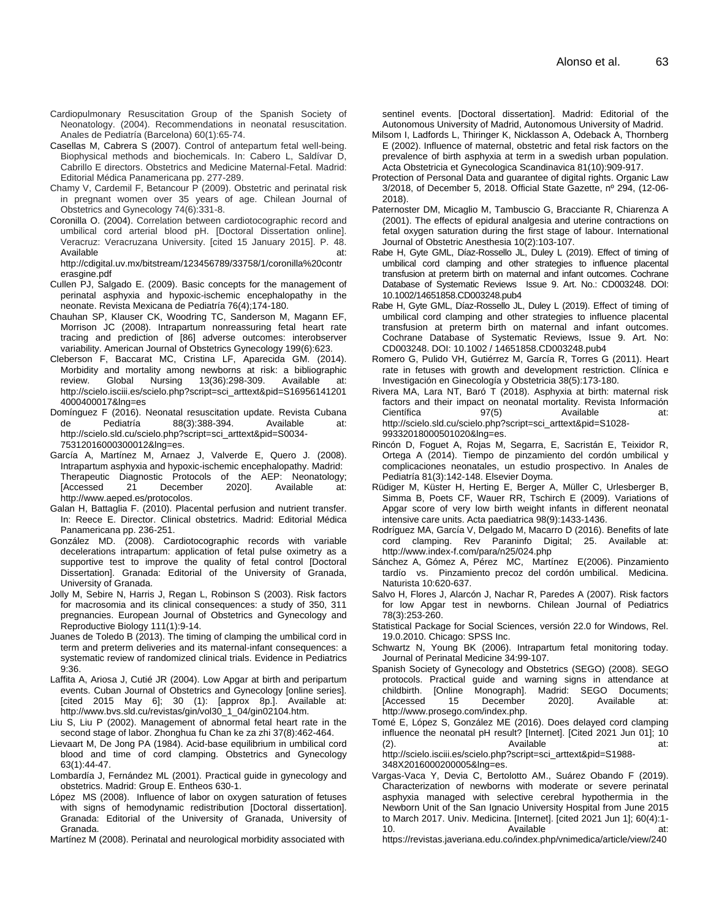- Cardiopulmonary Resuscitation Group of the Spanish Society of Neonatology. (2004). Recommendations in neonatal resuscitation. Anales de Pediatría (Barcelona) 60(1):65-74.
- Casellas M, Cabrera S (2007). Control of antepartum fetal well-being. Biophysical methods and biochemicals. In: Cabero L, Saldívar D, Cabrillo E directors. Obstetrics and Medicine Maternal-Fetal. Madrid: Editorial Médica Panamericana pp. 277-289.
- Chamy V, Cardemil F, Betancour P (2009). Obstetric and perinatal risk in pregnant women over 35 years of age. Chilean Journal of Obstetrics and Gynecology 74(6):331-8.
- Coronilla O. (2004). Correlation between cardiotocographic record and umbilical cord arterial blood pH. [Doctoral Dissertation online]. Veracruz: Veracruzana University. [cited 15 January 2015]. P. 48. Available at:

http://cdigital.uv.mx/bitstream/123456789/33758/1/coronilla%20contr erasgine.pdf

- Cullen PJ, Salgado E. (2009). Basic concepts for the management of perinatal asphyxia and hypoxic-ischemic encephalopathy in the neonate. Revista Mexicana de Pediatría 76(4);174-180.
- Chauhan SP, Klauser CK, Woodring TC, Sanderson M, Magann EF, Morrison JC (2008). Intrapartum nonreassuring fetal heart rate tracing and prediction of [86] adverse outcomes: interobserver variability. American Journal of Obstetrics Gynecology 199(6):623.
- Cleberson F, Baccarat MC, Cristina LF, Aparecida GM. (2014). Morbidity and mortality among newborns at risk: a bibliographic review. Global Nursing 13(36):298-309. Available at: [http://scielo.isciii.es/scielo.php?script=sci\\_arttext&pid=S16956141201](http://scielo.isciii.es/scielo.php?script=sci_arttext&pid=S169561412014000400017&lng=es) [4000400017&lng=es](http://scielo.isciii.es/scielo.php?script=sci_arttext&pid=S169561412014000400017&lng=es)
- Domínguez F (2016). Neonatal resuscitation update. Revista Cubana de Pediatría 88(3):388-394. Available at: [http://scielo.sld.cu/scielo.php?script=sci\\_arttext&pid=S0034-](http://scielo.sld.cu/scielo.php?script=sci_arttext&pid=S0034-75312016000300012&lng=es) [75312016000300012&lng=es.](http://scielo.sld.cu/scielo.php?script=sci_arttext&pid=S0034-75312016000300012&lng=es)
- García A, Martínez M, Arnaez J, Valverde E, Quero J*.* (2008). Intrapartum asphyxia and hypoxic-ischemic encephalopathy. Madrid: Therapeutic Diagnostic Protocols of the AEP: Neonatology; [Accessed 21 December 2020]. Available at: [http://www.aeped.es/protocolos.](http://www.aeped.es/protocolos)
- Galan H, Battaglia F. (2010). Placental perfusion and nutrient transfer. In: Reece E. Director. Clinical obstetrics. Madrid: Editorial Médica Panamericana pp. 236-251.
- González MD. (2008). Cardiotocographic records with variable decelerations intrapartum: application of fetal pulse oximetry as a supportive test to improve the quality of fetal control [Doctoral Dissertation]. Granada: Editorial of the University of Granada, University of Granada.
- Jolly M, Sebire N, Harris J, Regan L, Robinson S (2003). Risk factors for macrosomia and its clinical consequences: a study of 350, 311 pregnancies. European Journal of Obstetrics and Gynecology and Reproductive Biology 111(1):9-14.
- Juanes de Toledo B (2013). The timing of clamping the umbilical cord in term and preterm deliveries and its maternal-infant consequences: a systematic review of randomized clinical trials. Evidence in Pediatrics 9:36.
- Laffita A, Ariosa J, Cutié JR (2004). Low Apgar at birth and peripartum events. Cuban Journal of Obstetrics and Gynecology [online series]. [cited 2015 May 6]; 30 (1): [approx 8p.]. Available at: http://www.bvs.sld.cu/revistas/gin/vol30\_1\_04/gin02104.htm.
- Liu S, Liu P (2002). Management of abnormal fetal heart rate in the second stage of labor. Zhonghua fu Chan ke za zhi 37(8):462-464.
- Lievaart M, De Jong PA (1984). Acid-base equilibrium in umbilical cord blood and time of cord clamping. Obstetrics and Gynecology 63(1):44-47.
- Lombardía J, Fernández ML (2001). Practical guide in gynecology and obstetrics. Madrid: Group E. Entheos 630-1.
- López MS (2008). Influence of labor on oxygen saturation of fetuses with signs of hemodynamic redistribution [Doctoral dissertation]. Granada: Editorial of the University of Granada, University of Granada.
- Martínez M (2008). Perinatal and neurological morbidity associated with

sentinel events. [Doctoral dissertation]. Madrid: Editorial of the Autonomous University of Madrid, Autonomous University of Madrid.

- Milsom I, Ladfords L, Thiringer K, Nicklasson A, Odeback A, Thornberg E (2002). Influence of maternal, obstetric and fetal risk factors on the prevalence of birth asphyxia at term in a swedish urban population. Acta Obstetricia et Gynecologica Scandinavica 81(10):909-917.
- Protection of Personal Data and guarantee of digital rights. Organic Law 3/2018, of December 5, 2018. Official State Gazette, nº 294, (12-06- 2018).
- Paternoster DM, Micaglio M, Tambuscio G, Bracciante R, Chiarenza A (2001). The effects of epidural analgesia and uterine contractions on fetal oxygen saturation during the first stage of labour. International Journal of Obstetric Anesthesia 10(2):103-107.
- Rabe H, Gyte GML, Díaz-Rossello JL, Duley L (2019). Effect of timing of umbilical cord clamping and other strategies to influence placental transfusion at preterm birth on maternal and infant outcomes. Cochrane Database of Systematic Reviews Issue 9. Art. No.: CD003248. DOI: 10.1002/14651858.CD003248.pub4
- Rabe H, Gyte GML, Díaz-Rossello JL, Duley L (2019). Effect of timing of umbilical cord clamping and other strategies to influence placental transfusion at preterm birth on maternal and infant outcomes. Cochrane Database of Systematic Reviews, Issue 9. Art. No: CD003248. DOI: 10.1002 / 14651858.CD003248.pub4
- Romero G, Pulido VH, Gutiérrez M, García R, Torres G (2011). Heart rate in fetuses with growth and development restriction. Clínica e Investigación en Ginecología y Obstetricia 38(5):173-180.
- Rivera MA, Lara NT, Baró T (2018). Asphyxia at birth: maternal risk factors and their impact on neonatal mortality. Revista Información Científica  $97(5)$  Available at: [http://scielo.sld.cu/scielo.php?script=sci\\_arttext&pid=S1028-](http://scielo.sld.cu/scielo.php?script=sci_arttext&pid=S1028-99332018000501020&lng=es) [99332018000501020&lng=es.](http://scielo.sld.cu/scielo.php?script=sci_arttext&pid=S1028-99332018000501020&lng=es)
- Rincón D, Foguet A, Rojas M, Segarra, E, Sacristán E, Teixidor R, Ortega A (2014). Tiempo de pinzamiento del cordón umbilical y complicaciones neonatales, un estudio prospectivo. In Anales de Pediatría 81(3):142-148. Elsevier Doyma.
- Rüdiger M, Küster H, Herting E, Berger A, Müller C, Urlesberger B, Simma B, Poets CF, Wauer RR, Tschirch E (2009). Variations of Apgar score of very low birth weight infants in different neonatal intensive care units. Acta paediatrica 98(9):1433-1436.
- Rodríguez MA, García V, Delgado M, Macarro D (2016). Benefits of late cord clamping. Rev Paraninfo Digital; 25. Available at: http://www.index-f.com/para/n25/024.php
- Sánchez A, Gómez A, Pérez MC, Martínez E(2006). Pinzamiento tardío vs. Pinzamiento precoz del cordón umbilical. Medicina. Naturista 10:620-637.
- Salvo H, Flores J, Alarcón J, Nachar R, Paredes A (2007). Risk factors for low Apgar test in newborns. Chilean Journal of Pediatrics 78(3):253-260.
- Statistical Package for Social Sciences, versión 22.0 for Windows, Rel. 19.0.2010. Chicago: SPSS Inc.
- Schwartz N, Young BK (2006). Intrapartum fetal monitoring today. Journal of Perinatal Medicine 34:99-107.
- Spanish Society of Gynecology and Obstetrics (SEGO) (2008). SEGO protocols. Practical guide and warning signs in attendance at childbirth. [Online Monograph]. Madrid: SEGO Documents; [Accessed 15 December 2020]. Available [http://www.prosego.com/index.php.](http://www.prosego.com/index.php)
- Tomé E, López S, González ME (2016). Does delayed cord clamping influence the neonatal pH result? [Internet]. [Cited 2021 Jun 01]; 10 (2). Available at: http://scielo.isciii.es/scielo.php?script=sci\_arttext&pid=S1988-

348X2016000200005&lng=es.

- Vargas-Vaca Y, Devia C, Bertolotto AM., Suárez Obando F (2019). Characterization of newborns with moderate or severe perinatal asphyxia managed with selective cerebral hypothermia in the Newborn Unit of the San Ignacio University Hospital from June 2015 to March 2017. Univ. Medicina. [Internet]. [cited 2021 Jun 1]; 60(4):1- 10. **Available at: Available at:** 
	- [https://revistas.javeriana.edu.co/index.php/vnimedica/article/view/240](https://revistas.javeriana.edu.co/index.php/vnimedica/article/view/24027)